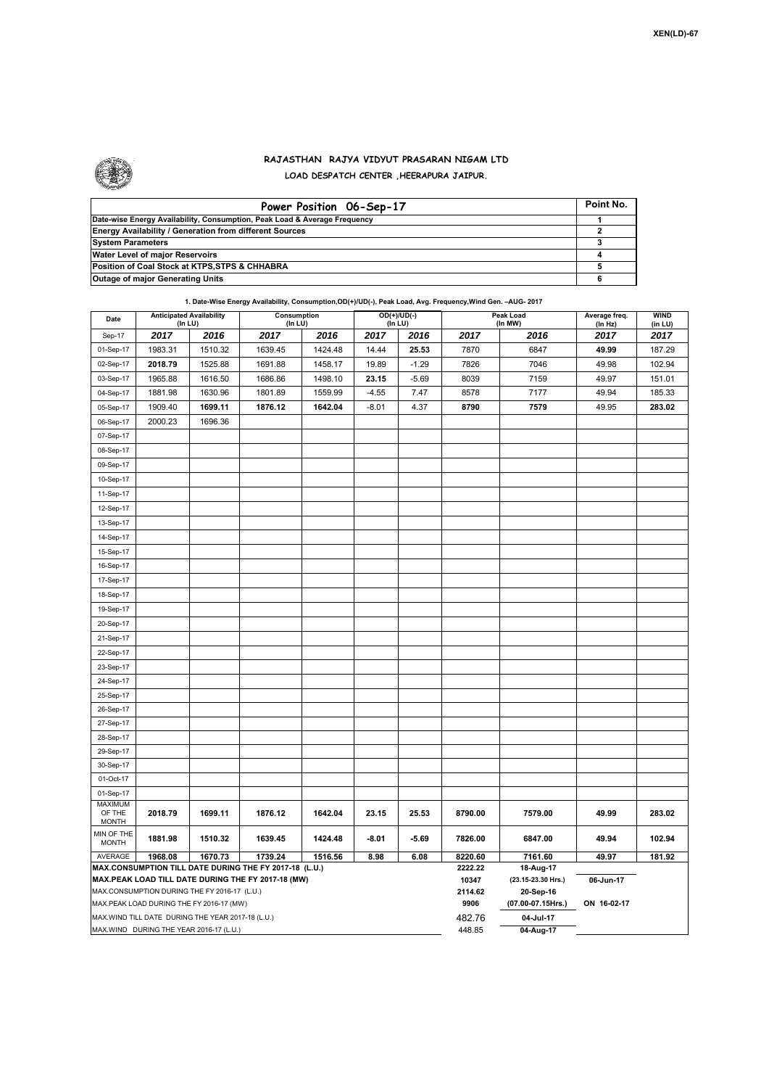

## **RAJASTHAN RAJYA VIDYUT PRASARAN NIGAM LTD LOAD DESPATCH CENTER ,HEERAPURA JAIPUR.**

| Power Position 06-Sep-17                                                  | Point No. |
|---------------------------------------------------------------------------|-----------|
| Date-wise Energy Availability, Consumption, Peak Load & Average Frequency |           |
| <b>Energy Availability / Generation from different Sources</b>            |           |
| <b>System Parameters</b>                                                  |           |
| Water Level of major Reservoirs                                           |           |
| Position of Coal Stock at KTPS, STPS & CHHABRA                            |           |
| <b>Outage of major Generating Units</b>                                   |           |

|                                                                                                                                                              | 1. Date-Wise Energy Availability, Consumption,OD(+)/UD(-), Peak Load, Avg. Frequency, Wind Gen. -AUG- 2017 |         |                        |         |         |                          |                             |                                                           |                          |                        |  |  |
|--------------------------------------------------------------------------------------------------------------------------------------------------------------|------------------------------------------------------------------------------------------------------------|---------|------------------------|---------|---------|--------------------------|-----------------------------|-----------------------------------------------------------|--------------------------|------------------------|--|--|
| Date                                                                                                                                                         | <b>Anticipated Availability</b><br>(In LU)                                                                 |         | Consumption<br>(In LU) |         |         | $OD(+)/UD(-)$<br>(In LU) |                             | Peak Load<br>(In MW)                                      | Average freq.<br>(In Hz) | <b>WIND</b><br>(in LU) |  |  |
| Sep-17                                                                                                                                                       | 2017                                                                                                       | 2016    | 2017                   | 2016    | 2017    | 2016                     | 2017                        | 2016                                                      | 2017                     | 2017                   |  |  |
| 01-Sep-17                                                                                                                                                    | 1983.31                                                                                                    | 1510.32 | 1639.45                | 1424.48 | 14.44   | 25.53                    | 7870                        | 6847                                                      | 49.99                    | 187.29                 |  |  |
| 02-Sep-17                                                                                                                                                    | 2018.79                                                                                                    | 1525.88 | 1691.88                | 1458.17 | 19.89   | $-1.29$                  | 7826                        | 7046                                                      | 49.98                    | 102.94                 |  |  |
| 03-Sep-17                                                                                                                                                    | 1965.88                                                                                                    | 1616.50 | 1686.86                | 1498.10 | 23.15   | $-5.69$                  | 8039                        | 7159                                                      | 49.97                    | 151.01                 |  |  |
| 04-Sep-17                                                                                                                                                    | 1881.98                                                                                                    | 1630.96 | 1801.89                | 1559.99 | $-4.55$ | 7.47                     | 8578                        | 7177                                                      | 49.94                    | 185.33                 |  |  |
| 05-Sep-17                                                                                                                                                    | 1909.40                                                                                                    | 1699.11 | 1876.12                | 1642.04 | $-8.01$ | 4.37                     | 8790                        | 7579                                                      | 49.95                    | 283.02                 |  |  |
| 06-Sep-17                                                                                                                                                    | 2000.23                                                                                                    | 1696.36 |                        |         |         |                          |                             |                                                           |                          |                        |  |  |
| 07-Sep-17                                                                                                                                                    |                                                                                                            |         |                        |         |         |                          |                             |                                                           |                          |                        |  |  |
| 08-Sep-17                                                                                                                                                    |                                                                                                            |         |                        |         |         |                          |                             |                                                           |                          |                        |  |  |
| 09-Sep-17                                                                                                                                                    |                                                                                                            |         |                        |         |         |                          |                             |                                                           |                          |                        |  |  |
| 10-Sep-17                                                                                                                                                    |                                                                                                            |         |                        |         |         |                          |                             |                                                           |                          |                        |  |  |
| 11-Sep-17                                                                                                                                                    |                                                                                                            |         |                        |         |         |                          |                             |                                                           |                          |                        |  |  |
| 12-Sep-17                                                                                                                                                    |                                                                                                            |         |                        |         |         |                          |                             |                                                           |                          |                        |  |  |
| 13-Sep-17                                                                                                                                                    |                                                                                                            |         |                        |         |         |                          |                             |                                                           |                          |                        |  |  |
| 14-Sep-17                                                                                                                                                    |                                                                                                            |         |                        |         |         |                          |                             |                                                           |                          |                        |  |  |
| 15-Sep-17                                                                                                                                                    |                                                                                                            |         |                        |         |         |                          |                             |                                                           |                          |                        |  |  |
| 16-Sep-17                                                                                                                                                    |                                                                                                            |         |                        |         |         |                          |                             |                                                           |                          |                        |  |  |
| 17-Sep-17                                                                                                                                                    |                                                                                                            |         |                        |         |         |                          |                             |                                                           |                          |                        |  |  |
| 18-Sep-17                                                                                                                                                    |                                                                                                            |         |                        |         |         |                          |                             |                                                           |                          |                        |  |  |
| 19-Sep-17                                                                                                                                                    |                                                                                                            |         |                        |         |         |                          |                             |                                                           |                          |                        |  |  |
| 20-Sep-17                                                                                                                                                    |                                                                                                            |         |                        |         |         |                          |                             |                                                           |                          |                        |  |  |
| 21-Sep-17                                                                                                                                                    |                                                                                                            |         |                        |         |         |                          |                             |                                                           |                          |                        |  |  |
| 22-Sep-17                                                                                                                                                    |                                                                                                            |         |                        |         |         |                          |                             |                                                           |                          |                        |  |  |
| 23-Sep-17                                                                                                                                                    |                                                                                                            |         |                        |         |         |                          |                             |                                                           |                          |                        |  |  |
| 24-Sep-17                                                                                                                                                    |                                                                                                            |         |                        |         |         |                          |                             |                                                           |                          |                        |  |  |
| 25-Sep-17                                                                                                                                                    |                                                                                                            |         |                        |         |         |                          |                             |                                                           |                          |                        |  |  |
| 26-Sep-17                                                                                                                                                    |                                                                                                            |         |                        |         |         |                          |                             |                                                           |                          |                        |  |  |
| 27-Sep-17                                                                                                                                                    |                                                                                                            |         |                        |         |         |                          |                             |                                                           |                          |                        |  |  |
| 28-Sep-17                                                                                                                                                    |                                                                                                            |         |                        |         |         |                          |                             |                                                           |                          |                        |  |  |
| 29-Sep-17                                                                                                                                                    |                                                                                                            |         |                        |         |         |                          |                             |                                                           |                          |                        |  |  |
| 30-Sep-17                                                                                                                                                    |                                                                                                            |         |                        |         |         |                          |                             |                                                           |                          |                        |  |  |
| 01-Oct-17                                                                                                                                                    |                                                                                                            |         |                        |         |         |                          |                             |                                                           |                          |                        |  |  |
| 01-Sep-17                                                                                                                                                    |                                                                                                            |         |                        |         |         |                          |                             |                                                           |                          |                        |  |  |
| <b>MAXIMUM</b><br>OF THE                                                                                                                                     | 2018.79                                                                                                    | 1699.11 | 1876.12                | 1642.04 | 23.15   | 25.53                    | 8790.00                     | 7579.00                                                   | 49.99                    | 283.02                 |  |  |
| <b>MONTH</b>                                                                                                                                                 |                                                                                                            |         |                        |         |         |                          |                             |                                                           |                          |                        |  |  |
| MIN OF THE<br><b>MONTH</b>                                                                                                                                   | 1881.98                                                                                                    | 1510.32 | 1639.45                | 1424.48 | -8.01   | $-5.69$                  | 7826.00                     | 6847.00                                                   | 49.94                    | 102.94                 |  |  |
| AVERAGE                                                                                                                                                      | 1968.08                                                                                                    | 1670.73 | 1739.24                | 1516.56 | 8.98    | 6.08                     | 8220.60                     | 7161.60                                                   | 49.97                    | 181.92                 |  |  |
| MAX.CONSUMPTION TILL DATE DURING THE FY 2017-18 (L.U.)<br>MAX.PEAK LOAD TILL DATE DURING THE FY 2017-18 (MW)<br>MAX.CONSUMPTION DURING THE FY 2016-17 (L.U.) |                                                                                                            |         |                        |         |         |                          | 2222.22<br>10347<br>2114.62 | 18-Aug-17<br>(23.15-23.30 Hrs.)<br>06-Jun-17<br>20-Sep-16 |                          |                        |  |  |
|                                                                                                                                                              | MAX.PEAK LOAD DURING THE FY 2016-17 (MW)                                                                   |         |                        |         |         |                          | 9906                        | (07.00-07.15Hrs.)<br>ON 16-02-17                          |                          |                        |  |  |
|                                                                                                                                                              | MAX. WIND TILL DATE DURING THE YEAR 2017-18 (L.U.)                                                         |         |                        |         |         |                          | 482.76                      | 04-Jul-17                                                 |                          |                        |  |  |
|                                                                                                                                                              | MAX.WIND DURING THE YEAR 2016-17 (L.U.)                                                                    |         |                        |         |         |                          | 448.85                      | 04-Aug-17                                                 |                          |                        |  |  |

**1. Date-Wise Energy Availability, Consumption,OD(+)/UD(-), Peak Load, Avg. Frequency,Wind Gen. –AUG- 2017**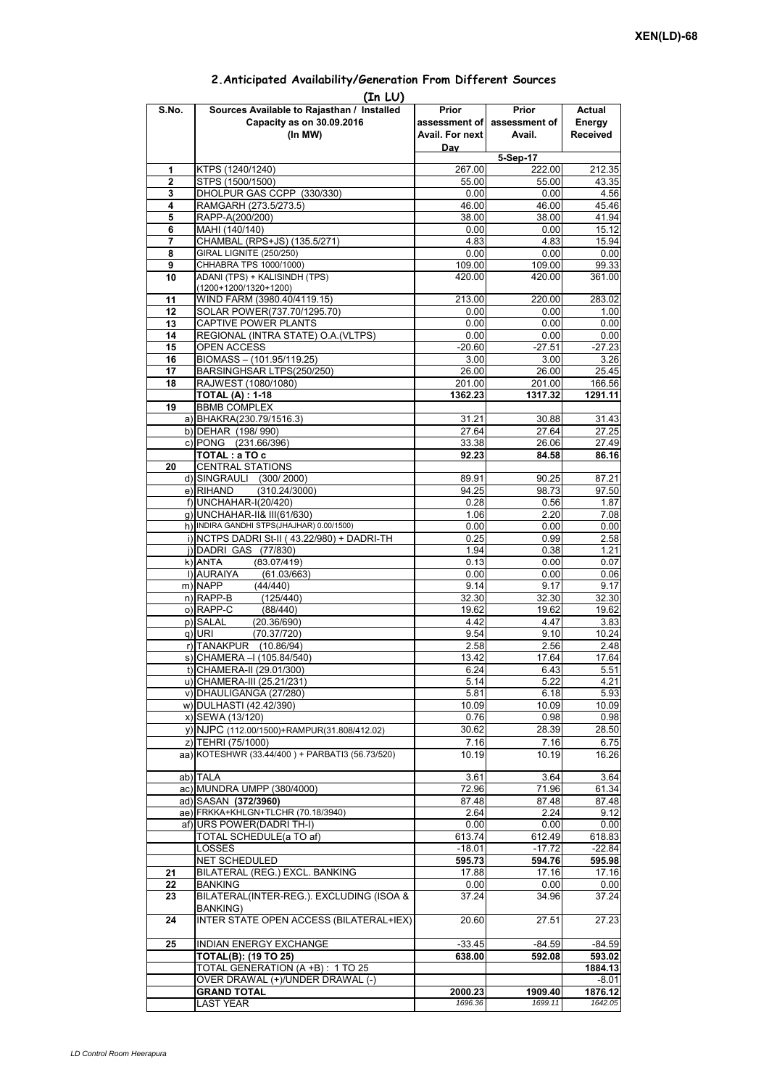## **Prior assessment of Avail. For next Day Prior assessment of Avail. Actual Energy Received 1** KTPS (1240/1240) 267.00 222.00 212.35 **2** STPS (1500/1500)<br> **3** DHOLPUR GAS CCPP (330/330) **55.00** 55.00 6.00 6.00 43.35 **3** DHOLPUR GAS CCPP (330/330) **4** RAMGARH (273.5/273.5) 46.00 46.00 46.46 4 AAR (273.5/273.5) 46.00 46.00 45.46 **5** RAPP-A(200/200) **38.00** 38.00 **6** MAHI (140/140) **38.00 6** MAHI (140/140) **15.12** 0.00 0.00 15.12 **7** CHAMBAL (RPS+JS) (135.5/271) 4.83 4.83 15.94 **8** GIRAL LIGNITE (250/250) **0.00** 0.00 0.00 0.00 0.00<br>**9** CHHABRA TPS 1000/1000) 0.00 109.00 0.00 0.00 0.00 **9** CHHABRA TPS 1000/1000) **10** ADANI (TPS) + KALISINDH (TPS) (1200+1200/1320+1200) 420.00 420.00 361.00 **11** WIND FARM (3980.40/4119.15) 213.00 220.00 283.02 12 SOLAR POWER(737.70/1295.70) 0.00 0.00 0.00 1.00 **13** CAPTIVE POWER PLANTS 0.00 0.00 0.00 0.00 **14** REGIONAL (INTRA STATE) O.A.(VLTPS) 0.00 0.00 0.00 0.00 0.00 15 OPEN ACCESS -20.60 -27.51 -27.23<br>16 BIOMASS – (101.95/119.25) -20.60 -27.51 -27.23 **BIOMASS – (101.95/119.25)** 17 BARSINGHSAR LTPS(250/250) 26.00 26.00 25.45 **18** RAJWEST (1080/1080) 201.00 201.00 166.56 **TOTAL (A) : 1-18 1362.23** 1317.32 1291.11 **19** BBMB COMPLEX a) BHAKRA(230.79/1516.3) 31.21 30.88 31.43<br>b) DFHAR (198/990) 32.64 27.64 27.25 b) DEHAR (198/ 990) c) PONG (231.66/396) 33.38 26.06 27.49 **TOTAL : a TO c** 66.16 **20** CENTRAL STATIONS d) SINGRAULI (300/2000) 89.91 89.91 90.25 87.21<br>e) RIHAND (310.24/3000) 94.25 98.73 97.50  $(310.24/3000)$ f) UNCHAHAR-I(20/420) 0.28 0.56 1.87 g) UNCHAHAR-II& III(61/630) 1.06 2.20 h) INDIRA GANDHI STPS(JHAJHAR) 0.00/1500) 0.00 0.00 0.00 0.00 0.00 0.00 i) NCTPS DADRI St-II ( 43.22/980) + DADRI-TH 0.25 0.99 2.58 j)|DADRI GAS (77/830) 1.94 0.38 1.21<br>k)|ANTA (83.07/419) 0.13 0.00 0.07 k)|ANTA (83.07/419) 0.13 0.00 0.07<br>|)|AURAIYA (61.03/663) 0.00 0.00 0.06 **(In LU) S.No. Sources Available to Rajasthan / Installed Capacity as on 30.09.2016 (In MW) 5-Sep-17** ANTA (83.07/419)0.130.000.07l) AURAIYA (61.03/663) 0.00 0.00 0.06 m) NAPP (44/440) 9.14 9.17 9.17 n) RAPP-B (125/440) 32.30 32.30 32.30 o) RAPP-C (88/440) 19.62 19.62 19.62 19.62 p) SALAL (20.36/690) 4.42 4.47 3.83<br>q) URI (70.37/720) 9.54 9.10 10.24 que (70.37/720) and the contract of the contract of the contract of the contract of the contract of the contract of the contract of the contract of the contract of the contract of the contract of the contract of the contra r) TANAKPUR (10.86/94) 2.58 2.58 2.48<br>s) CHAMERA – (105.84/540) 13.42 17.64 17.64  $\overline{s}$ ) CHAMERA –I (105.84/540) t) CHAMERA-II (29.01/300) 6.24 6.43 5.51 u) CHAMERA-III (25.21/231)  $\qquad \qquad$  5.14 5.22 4.21 v) DHAULIGANGA (27/280) 5.81 6.18 5.93 w) DULHASTI (42.42/390) 10.09 10.09 10.09 10.09 x) SEWA (13/120) 0.76 0.98 0.98 y) NJPC (112.00/1500)+RAMPUR(31.808/412.02) 30.62 30.62 z) TEHRI (75/1000)<br>a) KOTESHWR (33.44/400 ) + PARBATI3 (56.73/520) 10.19 10.19 16.26 aa) KOTESHWR (33.44/400) + PARBATI3 (56.73/520) ab) TALA 3.61 3.64 3.64 ac) MUNDRA UMPP (380/4000) 2000 72.96 71.96 61.34 ad) SASAN **(372/3960)** 87.48 87.48 87.48 87.48 87.48 87.48 87.48 87.48 87.48 87.48 87.48 87.48 87.48 87.48 87.48 87.48 87.48 87.48 87.48 87.48 87.48 87.48 87.48 87.48 87.48 87.48 87.48 87.48 87.48 87.12 81.12 ae) FRKKA+KHLGN+TLCHR (70.18/3940) af) URS POWER(DADRI TH-I)  $\overline{0.00}$  0.00 0.00 0.00 0.00 TOTAL SCHEDULE(a TO af) 613.74 612.49 618.83 LOSSES -18.01 -17.72 -22.84 NET SCHEDULED **595.73 594.76 595.98 21** BILATERAL (REG.) EXCL. BANKING 17.88 17.16 17.16 **22** BANKING 0.00 0.00 0.00 **23** BILATERAL(INTER-REG.). EXCLUDING (ISOA & BANKING) 37.24 34.96 37.24 **24** INTER STATE OPEN ACCESS (BILATERAL+IEX) 20.60 27.51 27.23 **25** INDIAN ENERGY EXCHANGE -33.45 -84.59 -84.59 **TOTAL(B): (19 TO 25) 638.00 592.08 593.02** TOTAL GENERATION (A +B) : 1 TO 25 OVER DRAWAL (+)/UNDER DRAWAL (-) -8.01 **GRAND TOTAL 2000.23 1909.40 1876.12** LAST YEAR *1696.36 1699.11 1642.05*

## **2.Anticipated Availability/Generation From Different Sources**